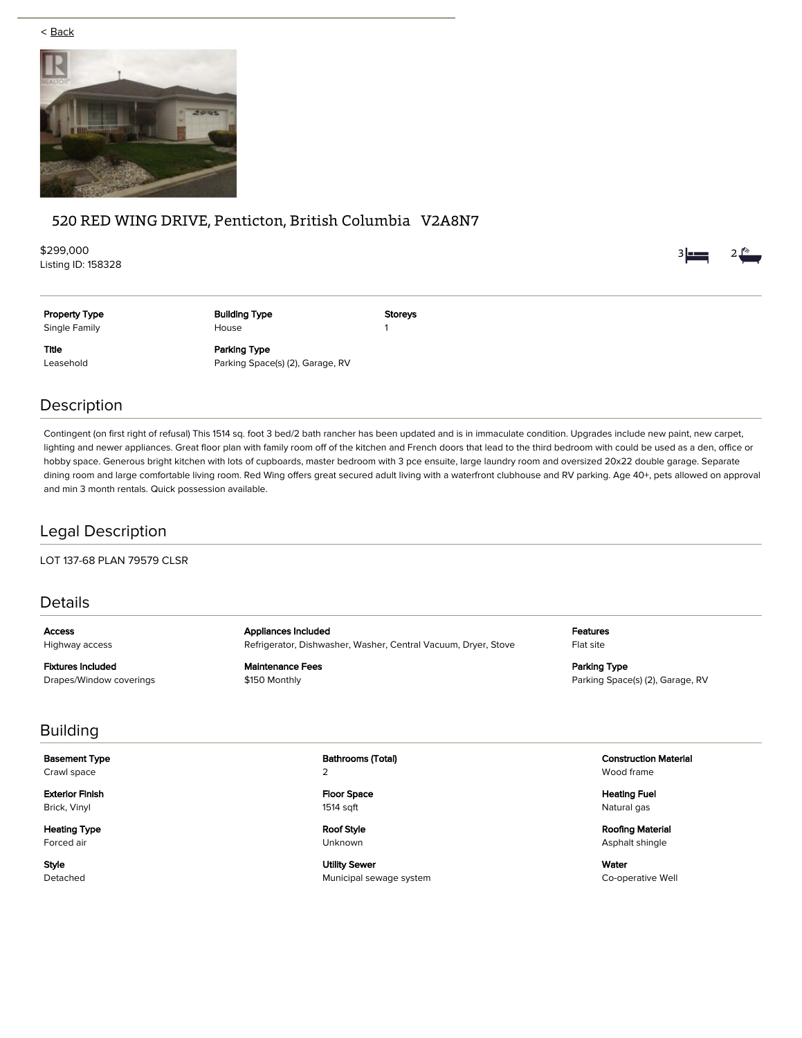< Back



# 520 RED WING DRIVE, Penticton, British Columbia V2A8N7

\$299,000 Listing ID: 158328



Property Type Single Family

Building Type House

Storeys 1

Title Leasehold Parking Type Parking Space(s) (2), Garage, RV

# Description

Contingent (on first right of refusal) This 1514 sq. foot 3 bed/2 bath rancher has been updated and is in immaculate condition. Upgrades include new paint, new carpet, lighting and newer appliances. Great floor plan with family room off of the kitchen and French doors that lead to the third bedroom with could be used as a den, office or hobby space. Generous bright kitchen with lots of cupboards, master bedroom with 3 pce ensuite, large laundry room and oversized 20x22 double garage. Separate dining room and large comfortable living room. Red Wing offers great secured adult living with a waterfront clubhouse and RV parking. Age 40+, pets allowed on approval and min 3 month rentals. Quick possession available.

# Legal Description

LOT 137-68 PLAN 79579 CLSR

### Details

Access Highway access

Fixtures Included Drapes/Window coverings Appliances Included Refrigerator, Dishwasher, Washer, Central Vacuum, Dryer, Stove

Maintenance Fees \$150 Monthly

Features Flat site

Parking Type Parking Space(s) (2), Garage, RV

# Building

Basement Type Crawl space

Exterior Finish Brick, Vinyl

Heating Type Forced air

Style Detached Bathrooms (Total) 2

Floor Space 1514 sqft

Roof Style Unknown

Utility Sewer Municipal sewage system Construction Material Wood frame

Heating Fuel Natural gas

Roofing Material Asphalt shingle

Water Co-operative Well